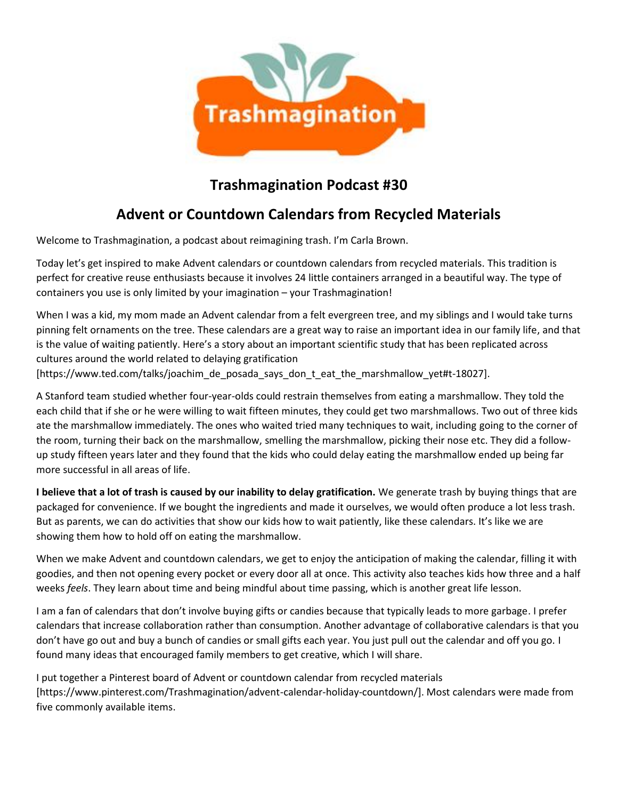

## **Trashmagination Podcast #30**

## **Advent or Countdown Calendars from Recycled Materials**

Welcome to Trashmagination, a podcast about reimagining trash. I'm Carla Brown.

Today let's get inspired to make Advent calendars or countdown calendars from recycled materials. This tradition is perfect for creative reuse enthusiasts because it involves 24 little containers arranged in a beautiful way. The type of containers you use is only limited by your imagination – your Trashmagination!

When I was a kid, my mom made an Advent calendar from a felt evergreen tree, and my siblings and I would take turns pinning felt ornaments on the tree. These calendars are a great way to raise an important idea in our family life, and that is the value of waiting patiently. Here's a story about an important scientific study that has been replicated across cultures around the world related to delaying gratification [https://www.ted.com/talks/joachim\_de\_posada\_says\_don\_t\_eat\_the\_marshmallow\_yet#t-18027].

A Stanford team studied whether four-year-olds could restrain themselves from eating a marshmallow. They told the each child that if she or he were willing to wait fifteen minutes, they could get two marshmallows. Two out of three kids ate the marshmallow immediately. The ones who waited tried many techniques to wait, including going to the corner of the room, turning their back on the marshmallow, smelling the marshmallow, picking their nose etc. They did a follow up study fifteen years later and they found that the kids who could delay eating the marshmallow ended up being far more successful in all areas of life.

**I believe that a lot of trash is caused by our inability to delay gratification.** We generate trash by buying things that are packaged for convenience. If we bought the ingredients and made it ourselves, we would often produce a lot less trash. But as parents, we can do activities that show our kids how to wait patiently, like these calendars. It's like we are showing them how to hold off on eating the marshmallow.

When we make Advent and countdown calendars, we get to enjoy the anticipation of making the calendar, filling it with goodies, and then not opening every pocket or every door all at once. This activity also teaches kids how three and a half weeks *feels*. They learn about time and being mindful about time passing, which is another great life lesson.

I am a fan of calendars that don't involve buying gifts or candies because that typically leads to more garbage. I prefer calendars that increase collaboration rather than consumption. Another advantage of collaborative calendars is that you don't have go out and buy a bunch of candies or small gifts each year. You just pull out the calendar and off you go. I found many ideas that encouraged family members to get creative, which I will share.

I put together a Pinterest board of Advent or countdown calendar from recycled materials [https://www.pinterest.com/Trashmagination/advent-calendar-holiday-countdown/]. Most calendars were made from five commonly available items.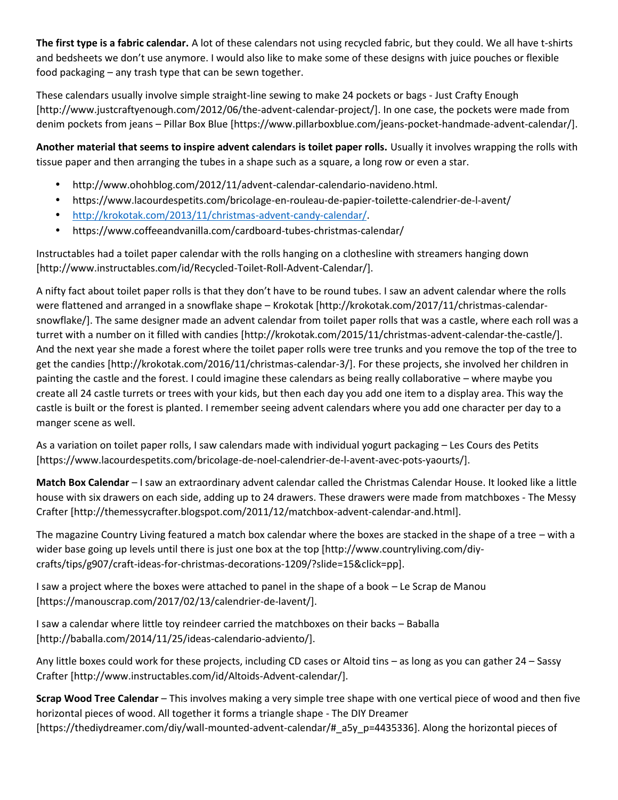**The first type is a fabric calendar.** A lot of these calendars not using recycled fabric, but they could. We all have t-shirts and bedsheets we don't use anymore. I would also like to make some of these designs with juice pouches or flexible food packaging – any trash type that can be sewn together.

These calendars usually involve simple straight-line sewing to make 24 pockets or bags - Just Crafty Enough [http://www.justcraftyenough.com/2012/06/the-advent-calendar-project/]. In one case, the pockets were made from denim pockets from jeans – Pillar Box Blue [https://www.pillarboxblue.com/jeans-pocket-handmade-advent-calendar/].

**Another material that seems to inspire advent calendars is toilet paper rolls.** Usually it involves wrapping the rolls with tissue paper and then arranging the tubes in a shape such as a square, a long row or even a star.

- http://www.ohohblog.com/2012/11/advent-calendar-calendario-navideno.html.
- https://www.lacourdespetits.com/bricolage-en-rouleau-de-papier-toilette-calendrier-de-l-avent/
- http://krokotak.com/2013/11/christmas-advent-candy-calendar/.
- https://www.coffeeandvanilla.com/cardboard-tubes-christmas-calendar/

Instructables had a toilet paper calendar with the rolls hanging on a clothesline with streamers hanging down [http://www.instructables.com/id/Recycled-Toilet-Roll-Advent-Calendar/].

A nifty fact about toilet paper rolls is that they don't have to be round tubes. I saw an advent calendar where the rolls were flattened and arranged in a snowflake shape – Krokotak [http://krokotak.com/2017/11/christmas-calendar snowflake/]. The same designer made an advent calendar from toilet paper rolls that was a castle, where each roll was a turret with a number on it filled with candies [http://krokotak.com/2015/11/christmas-advent-calendar-the-castle/]. And the next year she made a forest where the toilet paper rolls were tree trunks and you remove the top of the tree to get the candies [http://krokotak.com/2016/11/christmas-calendar-3/]. For these projects, she involved her children in painting the castle and the forest. I could imagine these calendars as being really collaborative – where maybe you create all 24 castle turrets or trees with your kids, but then each day you add one item to a display area. This way the castle is built or the forest is planted. I remember seeing advent calendars where you add one character per day to a manger scene as well.

As a variation on toilet paper rolls, I saw calendars made with individual yogurt packaging – Les Cours des Petits [https://www.lacourdespetits.com/bricolage-de-noel-calendrier-de-l-avent-avec-pots-yaourts/].

**Match Box Calendar** – I saw an extraordinary advent calendar called the Christmas Calendar House. It looked like a little house with six drawers on each side, adding up to 24 drawers. These drawers were made from matchboxes - The Messy Crafter [http://themessycrafter.blogspot.com/2011/12/matchbox-advent-calendar-and.html].

The magazine Country Living featured a match box calendar where the boxes are stacked in the shape of a tree – with a wider base going up levels until there is just one box at the top [http://www.countryliving.com/diy crafts/tips/g907/craft-ideas-for-christmas-decorations-1209/?slide=15&click=pp].

I saw a project where the boxes were attached to panel in the shape of a book – Le Scrap de Manou [https://manouscrap.com/2017/02/13/calendrier-de-lavent/].

I saw a calendar where little toy reindeer carried the matchboxes on their backs – Baballa [http://baballa.com/2014/11/25/ideas-calendario-adviento/].

Any little boxes could work for these projects, including CD cases or Altoid tins – as long as you can gather 24 – Sassy Crafter [http://www.instructables.com/id/Altoids-Advent-calendar/].

**Scrap Wood Tree Calendar** – This involves making a very simple tree shape with one vertical piece of wood and then five horizontal pieces of wood. All together it forms a triangle shape - The DIY Dreamer [https://thediydreamer.com/diy/wall-mounted-advent-calendar/#\_a5y\_p=4435336]. Along the horizontal pieces of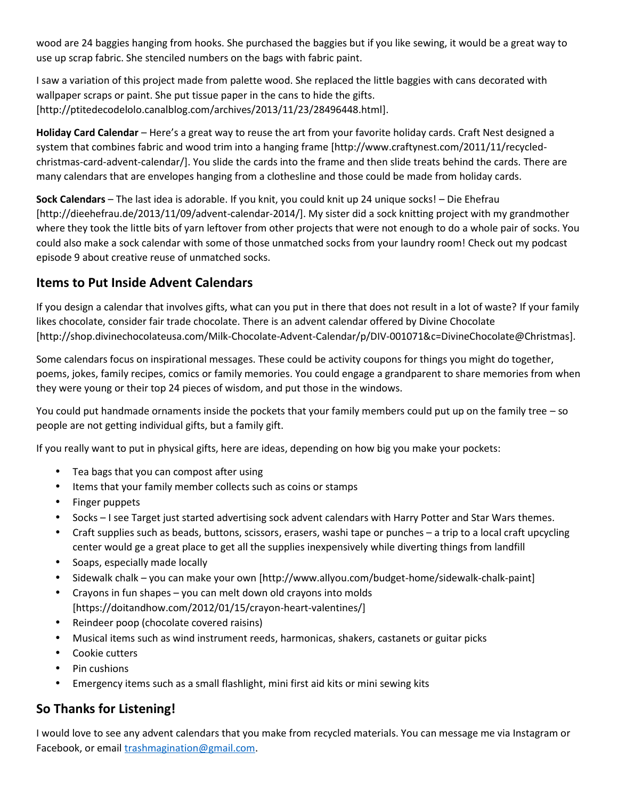wood are 24 baggies hanging from hooks. She purchased the baggies but if you like sewing, it would be a great way to use up scrap fabric. She stenciled numbers on the bags with fabric paint.

I saw a variation of this project made from palette wood. She replaced the little baggies with cans decorated with wallpaper scraps or paint. She put tissue paper in the cans to hide the gifts. [http://ptitedecodelolo.canalblog.com/archives/2013/11/23/28496448.html].

**Holiday Card Calendar** – Here's a great way to reuse the art from your favorite holiday cards. Craft Nest designed a system that combines fabric and wood trim into a hanging frame [http://www.craftynest.com/2011/11/recycled christmas-card-advent-calendar/]. You slide the cards into the frame and then slide treats behind the cards. There are many calendars that are envelopes hanging from a clothesline and those could be made from holiday cards.

**Sock Calendars** – The last idea is adorable. If you knit, you could knit up 24 unique socks! – Die Ehefrau [http://dieehefrau.de/2013/11/09/advent-calendar-2014/]. My sister did a sock knitting project with my grandmother where they took the little bits of yarn leftover from other projects that were not enough to do a whole pair of socks. You could also make a sock calendar with some of those unmatched socks from your laundry room! Check out my podcast episode 9 about creative reuse of unmatched socks.

## **Items to Put Inside Advent Calendars**

If you design a calendar that involves gifts, what can you put in there that does not result in a lot of waste? If your family likes chocolate, consider fair trade chocolate. There is an advent calendar offered by Divine Chocolate [http://shop.divinechocolateusa.com/Milk-Chocolate-Advent-Calendar/p/DIV-001071&c=DivineChocolate@Christmas].

Some calendars focus on inspirational messages. These could be activity coupons for things you might do together, poems, jokes, family recipes, comics or family memories. You could engage a grandparent to share memories from when they were young or their top 24 pieces of wisdom, and put those in the windows.

You could put handmade ornaments inside the pockets that your family members could put up on the family tree – so people are not getting individual gifts, but a family gift.

If you really want to put in physical gifts, here are ideas, depending on how big you make your pockets:

- Tea bags that you can compost after using
- Items that your family member collects such as coins or stamps
- Finger puppets
- Socks I see Target just started advertising sock advent calendars with Harry Potter and Star Wars themes.
- Craft supplies such as beads, buttons, scissors, erasers, washi tape or punches a trip to a local craft upcycling center would ge a great place to get all the supplies inexpensively while diverting things from landfill
- Soaps, especially made locally
- Sidewalk chalk you can make your own [http://www.allyou.com/budget-home/sidewalk-chalk-paint]
- Crayons in fun shapes you can melt down old crayons into molds [https://doitandhow.com/2012/01/15/crayon-heart-valentines/]
- Reindeer poop (chocolate covered raisins)
- Musical items such as wind instrument reeds, harmonicas, shakers, castanets or guitar picks
- Cookie cutters
- Pin cushions
- Emergency items such as a small flashlight, mini first aid kits or mini sewing kits

## **So Thanks for Listening!**

I would love to see any advent calendars that you make from recycled materials. You can message me via Instagram or Facebook, or email trashmagination@gmail.com.